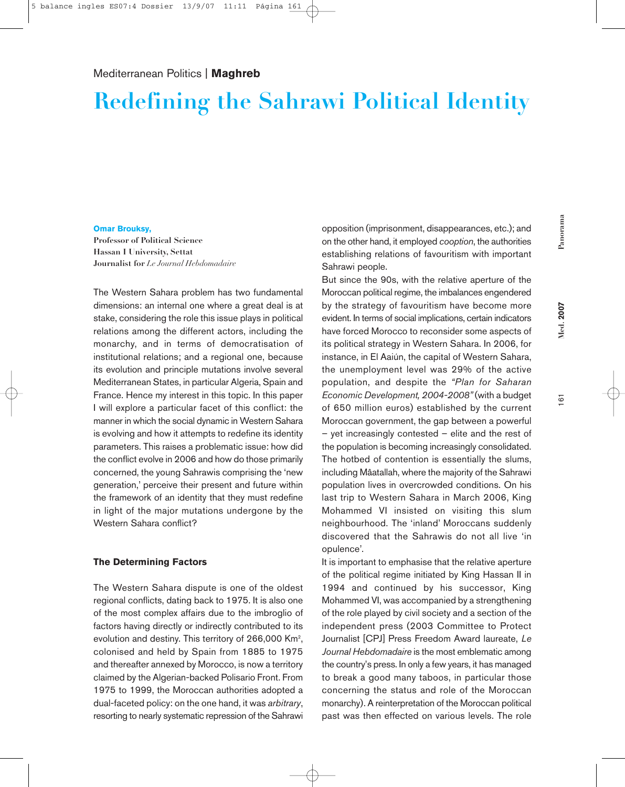# **Redefining the Sahrawi Political Identity**

### **Omar Brouksy,**

**Professor of Political Science Hassan I University, Settat Journalist for** *Le Journal Hebdomadaire*

The Western Sahara problem has two fundamental dimensions: an internal one where a great deal is at stake, considering the role this issue plays in political relations among the different actors, including the monarchy, and in terms of democratisation of institutional relations; and a regional one, because its evolution and principle mutations involve several Mediterranean States, in particular Algeria, Spain and France. Hence my interest in this topic. In this paper I will explore a particular facet of this conflict: the manner in which the social dynamic in Western Sahara is evolving and how it attempts to redefine its identity parameters. This raises a problematic issue: how did the conflict evolve in 2006 and how do those primarily concerned, the young Sahrawis comprising the 'new generation,' perceive their present and future within the framework of an identity that they must redefine in light of the major mutations undergone by the Western Sahara conflict?

### **The Determining Factors**

The Western Sahara dispute is one of the oldest regional conflicts, dating back to 1975. It is also one of the most complex affairs due to the imbroglio of factors having directly or indirectly contributed to its evolution and destiny. This territory of 266,000 Km<sup>2</sup>, colonised and held by Spain from 1885 to 1975 and thereafter annexed by Morocco, is now a territory claimed by the Algerian-backed Polisario Front. From 1975 to 1999, the Moroccan authorities adopted a dual-faceted policy: on the one hand, it was *arbitrary*, resorting to nearly systematic repression of the Sahrawi opposition (imprisonment, disappearances, etc.); and on the other hand, it employed *cooption*, the authorities establishing relations of favouritism with important Sahrawi people.

But since the 90s, with the relative aperture of the Moroccan political regime, the imbalances engendered by the strategy of favouritism have become more evident. In terms of social implications, certain indicators have forced Morocco to reconsider some aspects of its political strategy in Western Sahara. In 2006, for instance, in El Aaiún, the capital of Western Sahara, the unemployment level was 29% of the active population, and despite the *"Plan for Saharan Economic Development, 2004-2008"* (with a budget of 650 million euros) established by the current Moroccan government, the gap between a powerful – yet increasingly contested – elite and the rest of the population is becoming increasingly consolidated. The hotbed of contention is essentially the slums, including Mâatallah, where the majority of the Sahrawi population lives in overcrowded conditions. On his last trip to Western Sahara in March 2006, King Mohammed VI insisted on visiting this slum neighbourhood. The 'inland' Moroccans suddenly discovered that the Sahrawis do not all live 'in opulence'.

It is important to emphasise that the relative aperture of the political regime initiated by King Hassan II in 1994 and continued by his successor, King Mohammed VI, was accompanied by a strengthening of the role played by civil society and a section of the independent press (2003 Committee to Protect Journalist [CPJ] Press Freedom Award laureate, *Le Journal Hebdomadaire* is the most emblematic among the country's press. In only a few years, it has managed to break a good many taboos, in particular those concerning the status and role of the Moroccan monarchy). A reinterpretation of the Moroccan political past was then effected on various levels. The role

**Med. 2007**

Med. 2007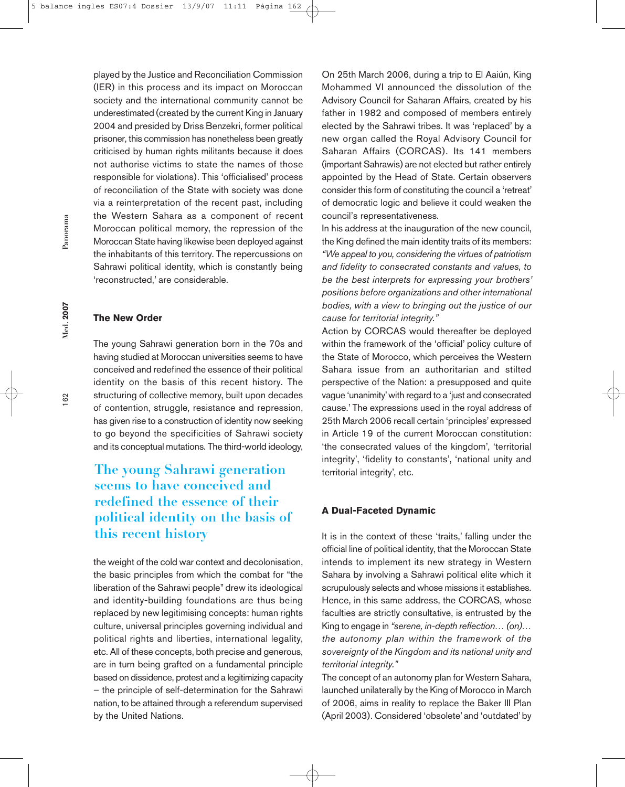played by the Justice and Reconciliation Commission (IER) in this process and its impact on Moroccan society and the international community cannot be underestimated (created by the current King in January 2004 and presided by Driss Benzekri, former political prisoner, this commission has nonetheless been greatly criticised by human rights militants because it does not authorise victims to state the names of those responsible for violations). This 'officialised' process of reconciliation of the State with society was done via a reinterpretation of the recent past, including the Western Sahara as a component of recent Moroccan political memory, the repression of the Moroccan State having likewise been deployed against the inhabitants of this territory. The repercussions on Sahrawi political identity, which is constantly being 'reconstructed,' are considerable.

### **The New Order**

The young Sahrawi generation born in the 70s and having studied at Moroccan universities seems to have conceived and redefined the essence of their political identity on the basis of this recent history. The structuring of collective memory, built upon decades of contention, struggle, resistance and repression, has given rise to a construction of identity now seeking to go beyond the specificities of Sahrawi society and its conceptual mutations. The third-world ideology,

## **The young Sahrawi generation seems to have conceived and redefined the essence of their political identity on the basis of this recent history**

the weight of the cold war context and decolonisation, the basic principles from which the combat for "the liberation of the Sahrawi people" drew its ideological and identity-building foundations are thus being replaced by new legitimising concepts: human rights culture, universal principles governing individual and political rights and liberties, international legality, etc. All of these concepts, both precise and generous, are in turn being grafted on a fundamental principle based on dissidence, protest and a legitimizing capacity – the principle of self-determination for the Sahrawi nation, to be attained through a referendum supervised by the United Nations.

On 25th March 2006, during a trip to El Aaiún, King Mohammed VI announced the dissolution of the Advisory Council for Saharan Affairs, created by his father in 1982 and composed of members entirely elected by the Sahrawi tribes. It was 'replaced' by a new organ called the Royal Advisory Council for Saharan Affairs (CORCAS). Its 141 members (important Sahrawis) are not elected but rather entirely appointed by the Head of State. Certain observers consider this form of constituting the council a 'retreat' of democratic logic and believe it could weaken the council's representativeness.

In his address at the inauguration of the new council, the King defined the main identity traits of its members: *"We appeal to you, considering the virtues of patriotism and fidelity to consecrated constants and values, to be the best interprets for expressing your brothers' positions before organizations and other international bodies, with a view to bringing out the justice of our cause for territorial integrity."*

Action by CORCAS would thereafter be deployed within the framework of the 'official' policy culture of the State of Morocco, which perceives the Western Sahara issue from an authoritarian and stilted perspective of the Nation: a presupposed and quite vague 'unanimity'with regard to a 'just and consecrated cause.' The expressions used in the royal address of 25th March 2006 recall certain 'principles'expressed in Article 19 of the current Moroccan constitution: 'the consecrated values of the kingdom', 'territorial integrity', 'fidelity to constants', 'national unity and territorial integrity', etc.

### **A Dual-Faceted Dynamic**

It is in the context of these 'traits,' falling under the official line of political identity, that the Moroccan State intends to implement its new strategy in Western Sahara by involving a Sahrawi political elite which it scrupulously selects and whose missions it establishes. Hence, in this same address, the CORCAS, whose faculties are strictly consultative, is entrusted by the King to engage in *"serene, in-depth reflection… (on)… the autonomy plan within the framework of the sovereignty of the Kingdom and its national unity and territorial integrity."*

The concept of an autonomy plan for Western Sahara, launched unilaterally by the King of Morocco in March of 2006, aims in reality to replace the Baker III Plan (April 2003). Considered 'obsolete' and 'outdated'by

**Med. 2007**

Med. 2007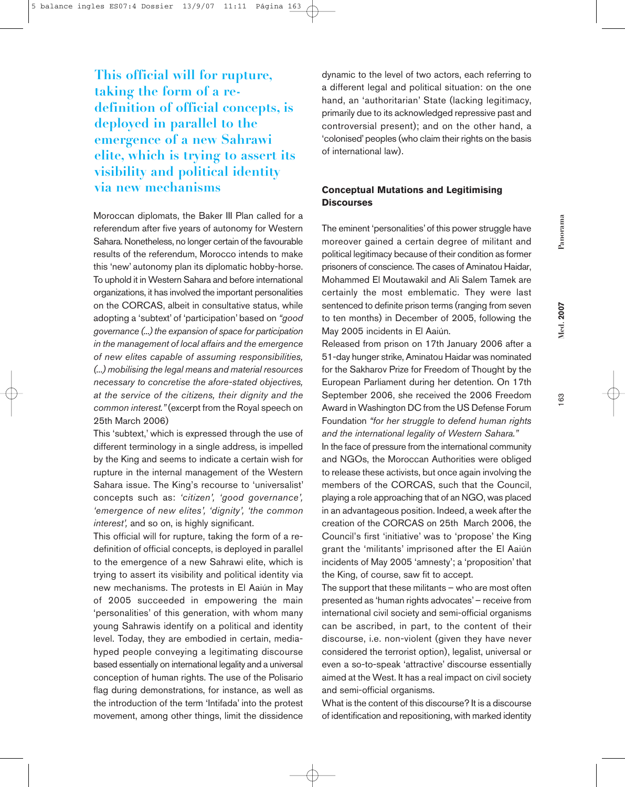Panorama **Panorama**

163

**This official will for rupture, taking the form of a redefinition of official concepts, is deployed in parallel to the emergence of a new Sahrawi elite, which is trying to assert its visibility and political identity via new mechanisms**

Moroccan diplomats, the Baker III Plan called for a referendum after five years of autonomy for Western Sahara. Nonetheless, no longer certain of the favourable results of the referendum, Morocco intends to make this 'new' autonomy plan its diplomatic hobby-horse. To uphold it in Western Sahara and before international organizations, it has involved the important personalities on the CORCAS, albeit in consultative status, while adopting a 'subtext' of 'participation' based on *"good governance (...) the expansion of space for participation in the management of local affairs and the emergence of new elites capable of assuming responsibilities, (...) mobilising the legal means and material resources necessary to concretise the afore-stated objectives, at the service of the citizens, their dignity and the common interest."* (excerpt from the Royal speech on 25th March 2006)

This 'subtext,' which is expressed through the use of different terminology in a single address, is impelled by the King and seems to indicate a certain wish for rupture in the internal management of the Western Sahara issue. The King's recourse to 'universalist' concepts such as: *'citizen', 'good governance', 'emergence of new elites', 'dignity', 'the common interest',* and so on, is highly significant.

This official will for rupture, taking the form of a redefinition of official concepts, is deployed in parallel to the emergence of a new Sahrawi elite, which is trying to assert its visibility and political identity via new mechanisms. The protests in El Aaiún in May of 2005 succeeded in empowering the main 'personalities' of this generation, with whom many young Sahrawis identify on a political and identity level. Today, they are embodied in certain, mediahyped people conveying a legitimating discourse based essentially on international legality and a universal conception of human rights. The use of the Polisario flag during demonstrations, for instance, as well as the introduction of the term 'Intifada' into the protest movement, among other things, limit the dissidence

dynamic to the level of two actors, each referring to a different legal and political situation: on the one hand, an 'authoritarian' State (lacking legitimacy, primarily due to its acknowledged repressive past and controversial present); and on the other hand, a 'colonised'peoples (who claim their rights on the basis of international law).

### **Conceptual Mutations and Legitimising Discourses**

The eminent 'personalities'of this power struggle have moreover gained a certain degree of militant and political legitimacy because of their condition as former prisoners of conscience. The cases of Aminatou Haidar, Mohammed El Moutawakil and Ali Salem Tamek are certainly the most emblematic. They were last sentenced to definite prison terms (ranging from seven to ten months) in December of 2005, following the May 2005 incidents in El Aaiún.

Released from prison on 17th January 2006 after a 51-day hunger strike, Aminatou Haidar was nominated for the Sakharov Prize for Freedom of Thought by the European Parliament during her detention. On 17th September 2006, she received the 2006 Freedom Award in Washington DC from the US Defense Forum Foundation *"for her struggle to defend human rights and the international legality of Western Sahara."*

In the face of pressure from the international community and NGOs, the Moroccan Authorities were obliged to release these activists, but once again involving the members of the CORCAS, such that the Council, playing a role approaching that of an NGO, was placed in an advantageous position. Indeed, a week after the creation of the CORCAS on 25th March 2006, the Council's first 'initiative' was to 'propose' the King grant the 'militants' imprisoned after the El Aaiún incidents of May 2005 'amnesty'; a 'proposition' that the King, of course, saw fit to accept.

The support that these militants – who are most often presented as 'human rights advocates'– receive from international civil society and semi-official organisms can be ascribed, in part, to the content of their discourse, i.e. non-violent (given they have never considered the terrorist option), legalist, universal or even a so-to-speak 'attractive' discourse essentially aimed at the West. It has a real impact on civil society and semi-official organisms.

What is the content of this discourse? It is a discourse of identification and repositioning, with marked identity